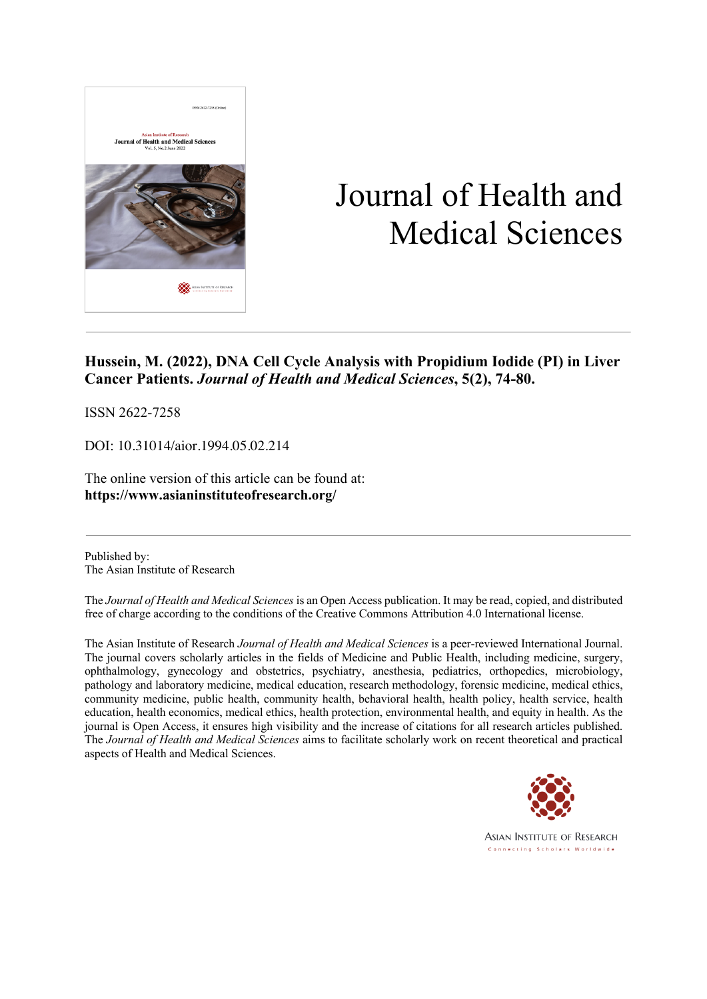

## Journal of Health and Medical Sciences

**Hussein, M. (2022), DNA Cell Cycle Analysis with Propidium Iodide (PI) in Liver Cancer Patients.** *Journal of Health and Medical Sciences***, 5(2), 74-80.**

ISSN 2622-7258

DOI: 10.31014/aior.1994.05.02.214

The online version of this article can be found at: **https://www.asianinstituteofresearch.org/**

Published by: The Asian Institute of Research

The *Journal of Health and Medical Sciences* is an Open Access publication. It may be read, copied, and distributed free of charge according to the conditions of the Creative Commons Attribution 4.0 International license.

The Asian Institute of Research *Journal of Health and Medical Sciences* is a peer-reviewed International Journal. The journal covers scholarly articles in the fields of Medicine and Public Health, including medicine, surgery, ophthalmology, gynecology and obstetrics, psychiatry, anesthesia, pediatrics, orthopedics, microbiology, pathology and laboratory medicine, medical education, research methodology, forensic medicine, medical ethics, community medicine, public health, community health, behavioral health, health policy, health service, health education, health economics, medical ethics, health protection, environmental health, and equity in health. As the journal is Open Access, it ensures high visibility and the increase of citations for all research articles published. The *Journal of Health and Medical Sciences* aims to facilitate scholarly work on recent theoretical and practical aspects of Health and Medical Sciences.



**ASIAN INSTITUTE OF RESEARCH** Connecting Scholars Worldwide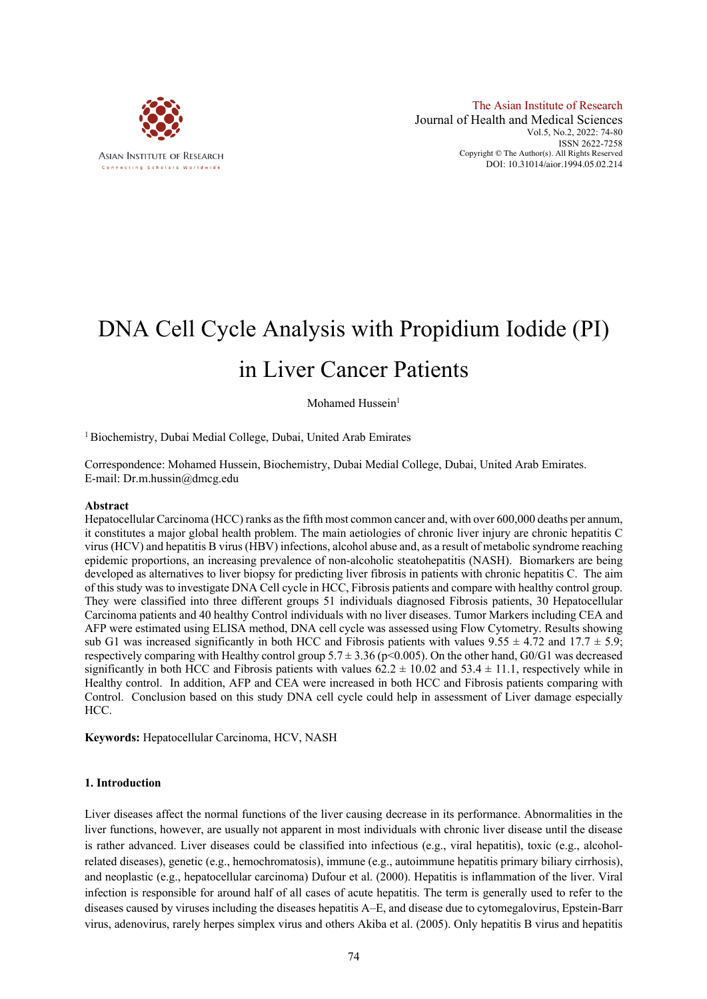

# DNA Cell Cycle Analysis with Propidium Iodide (PI)

### in Liver Cancer Patients

Mohamed Hussein<sup>1</sup>

1 Biochemistry, Dubai Medial College, Dubai, United Arab Emirates

Correspondence: Mohamed Hussein, Biochemistry, Dubai Medial College, Dubai, United Arab Emirates. E-mail: Dr.m.hussin@dmcg.edu

#### **Abstract**

Hepatocellular Carcinoma (HCC) ranks as the fifth most common cancer and, with over 600,000 deaths per annum, it constitutes a major global health problem. The main aetiologies of chronic liver injury are chronic hepatitis C virus (HCV) and hepatitis B virus (HBV) infections, alcohol abuse and, as a result of metabolic syndrome reaching epidemic proportions, an increasing prevalence of non-alcoholic steatohepatitis (NASH). Biomarkers are being developed as alternatives to liver biopsy for predicting liver fibrosis in patients with chronic hepatitis C. The aim of this study was to investigate DNA Cell cycle in HCC, Fibrosis patients and compare with healthy control group. They were classified into three different groups 51 individuals diagnosed Fibrosis patients, 30 Hepatocellular Carcinoma patients and 40 healthy Control individuals with no liver diseases. Tumor Markers including CEA and AFP were estimated using ELISA method, DNA cell cycle was assessed using Flow Cytometry. Results showing sub G1 was increased significantly in both HCC and Fibrosis patients with values  $9.55 \pm 4.72$  and  $17.7 \pm 5.9$ ; respectively comparing with Healthy control group  $5.7 \pm 3.36$  (p<0.005). On the other hand, G0/G1 was decreased significantly in both HCC and Fibrosis patients with values  $62.2 \pm 10.02$  and  $53.4 \pm 11.1$ , respectively while in Healthy control. In addition, AFP and CEA were increased in both HCC and Fibrosis patients comparing with Control. Conclusion based on this study DNA cell cycle could help in assessment of Liver damage especially HCC.

**Keywords:** Hepatocellular Carcinoma, HCV, NASH

#### **1. Introduction**

Liver diseases affect the normal functions of the liver causing decrease in its performance. Abnormalities in the liver functions, however, are usually not apparent in most individuals with chronic liver disease until the disease is rather advanced. Liver diseases could be classified into infectious (e.g., viral hepatitis), toxic (e.g., alcoholrelated diseases), genetic (e.g., hemochromatosis), immune (e.g., autoimmune hepatitis primary biliary cirrhosis), and neoplastic (e.g., hepatocellular carcinoma) Dufour et al. (2000). Hepatitis is inflammation of the liver. Viral infection is responsible for around half of all cases of acute hepatitis. The term is generally used to refer to the diseases caused by viruses including the diseases hepatitis A–E, and disease due to cytomegalovirus, Epstein-Barr virus, adenovirus, rarely herpes simplex virus and others Akiba et al. (2005). Only hepatitis B virus and hepatitis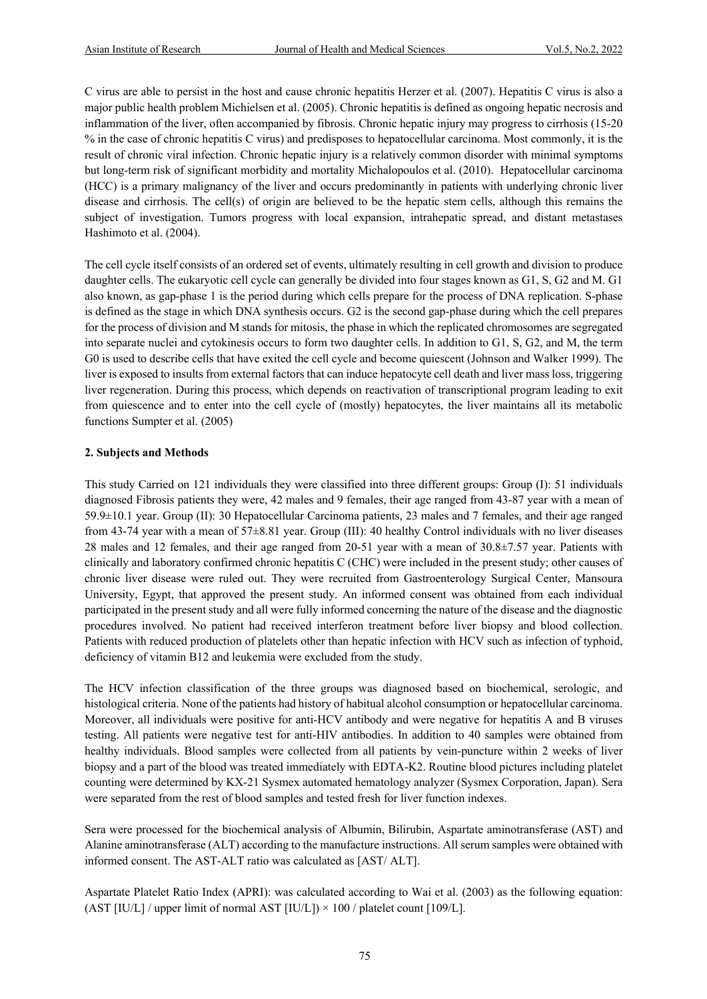C virus are able to persist in the host and cause chronic hepatitis Herzer et al. (2007). Hepatitis C virus is also a major public health problem Michielsen et al. (2005). Chronic hepatitis is defined as ongoing hepatic necrosis and inflammation of the liver, often accompanied by fibrosis. Chronic hepatic injury may progress to cirrhosis (15-20 % in the case of chronic hepatitis C virus) and predisposes to hepatocellular carcinoma. Most commonly, it is the result of chronic viral infection. Chronic hepatic injury is a relatively common disorder with minimal symptoms but long-term risk of significant morbidity and mortality Michalopoulos et al. (2010). Hepatocellular carcinoma (HCC) is a primary malignancy of the liver and occurs predominantly in patients with underlying chronic liver disease and cirrhosis. The cell(s) of origin are believed to be the hepatic stem cells, although this remains the subject of investigation. Tumors progress with local expansion, intrahepatic spread, and distant metastases Hashimoto et al. (2004).

The cell cycle itself consists of an ordered set of events, ultimately resulting in cell growth and division to produce daughter cells. The eukaryotic cell cycle can generally be divided into four stages known as G1, S, G2 and M. G1 also known, as gap-phase 1 is the period during which cells prepare for the process of DNA replication. S-phase is defined as the stage in which DNA synthesis occurs. G2 is the second gap-phase during which the cell prepares for the process of division and M stands for mitosis, the phase in which the replicated chromosomes are segregated into separate nuclei and cytokinesis occurs to form two daughter cells. In addition to G1, S, G2, and M, the term G0 is used to describe cells that have exited the cell cycle and become quiescent (Johnson and Walker 1999). The liver is exposed to insults from external factors that can induce hepatocyte cell death and liver mass loss, triggering liver regeneration. During this process, which depends on reactivation of transcriptional program leading to exit from quiescence and to enter into the cell cycle of (mostly) hepatocytes, the liver maintains all its metabolic functions Sumpter et al. (2005)

#### **2. Subjects and Methods**

This study Carried on 121 individuals they were classified into three different groups: Group (I): 51 individuals diagnosed Fibrosis patients they were, 42 males and 9 females, their age ranged from 43-87 year with a mean of 59.9±10.1 year. Group (II): 30 Hepatocellular Carcinoma patients, 23 males and 7 females, and their age ranged from 43-74 year with a mean of 57±8.81 year. Group (III): 40 healthy Control individuals with no liver diseases 28 males and 12 females, and their age ranged from 20-51 year with a mean of 30.8±7.57 year. Patients with clinically and laboratory confirmed chronic hepatitis C (CHC) were included in the present study; other causes of chronic liver disease were ruled out. They were recruited from Gastroenterology Surgical Center, Mansoura University, Egypt, that approved the present study. An informed consent was obtained from each individual participated in the present study and all were fully informed concerning the nature of the disease and the diagnostic procedures involved. No patient had received interferon treatment before liver biopsy and blood collection. Patients with reduced production of platelets other than hepatic infection with HCV such as infection of typhoid, deficiency of vitamin B12 and leukemia were excluded from the study.

The HCV infection classification of the three groups was diagnosed based on biochemical, serologic, and histological criteria. None of the patients had history of habitual alcohol consumption or hepatocellular carcinoma. Moreover, all individuals were positive for anti-HCV antibody and were negative for hepatitis A and B viruses testing. All patients were negative test for anti-HIV antibodies. In addition to 40 samples were obtained from healthy individuals. Blood samples were collected from all patients by vein-puncture within 2 weeks of liver biopsy and a part of the blood was treated immediately with EDTA-K2. Routine blood pictures including platelet counting were determined by KX-21 Sysmex automated hematology analyzer (Sysmex Corporation, Japan). Sera were separated from the rest of blood samples and tested fresh for liver function indexes.

Sera were processed for the biochemical analysis of Albumin, Bilirubin, Aspartate aminotransferase (AST) and Alanine aminotransferase (ALT) according to the manufacture instructions. All serum samples were obtained with informed consent. The AST-ALT ratio was calculated as [AST/ ALT].

Aspartate Platelet Ratio Index (APRI): was calculated according to Wai et al. (2003) as the following equation: (AST [IU/L] / upper limit of normal AST [IU/L])  $\times$  100 / platelet count [109/L].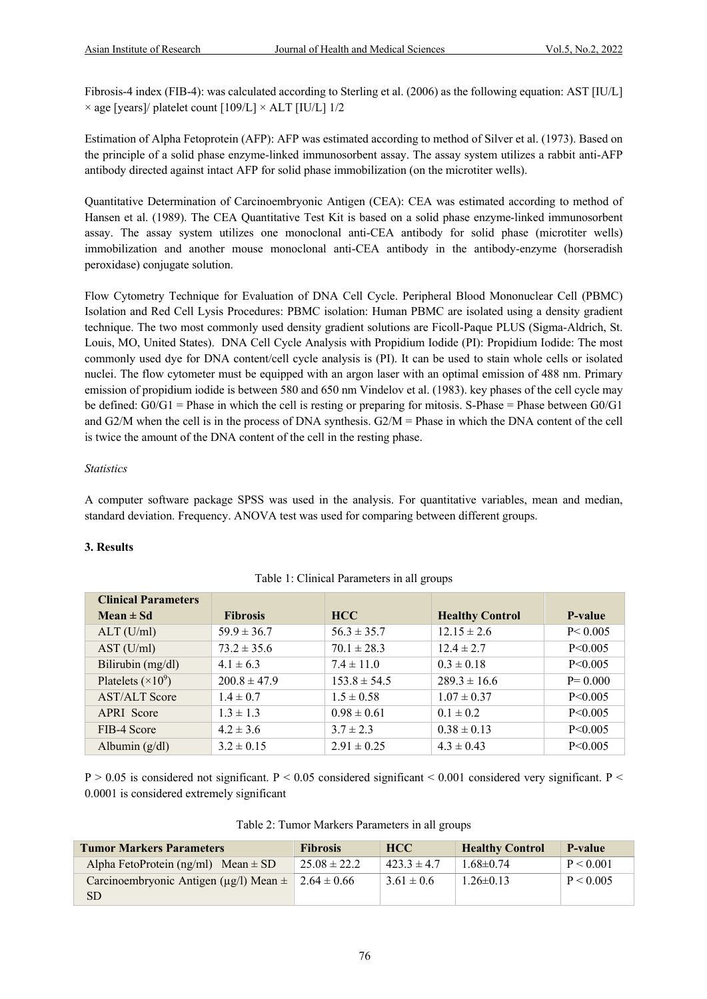Fibrosis-4 index (FIB-4): was calculated according to Sterling et al. (2006) as the following equation: AST [IU/L]  $\times$  age [years]/ platelet count [109/L]  $\times$  ALT [IU/L] 1/2

Estimation of Alpha Fetoprotein (AFP): AFP was estimated according to method of Silver et al. (1973). Based on the principle of a solid phase enzyme-linked immunosorbent assay. The assay system utilizes a rabbit anti-AFP antibody directed against intact AFP for solid phase immobilization (on the microtiter wells).

Quantitative Determination of Carcinoembryonic Antigen (CEA): CEA was estimated according to method of Hansen et al. (1989). The CEA Quantitative Test Kit is based on a solid phase enzyme-linked immunosorbent assay. The assay system utilizes one monoclonal anti-CEA antibody for solid phase (microtiter wells) immobilization and another mouse monoclonal anti-CEA antibody in the antibody-enzyme (horseradish peroxidase) conjugate solution.

Flow Cytometry Technique for Evaluation of DNA Cell Cycle. Peripheral Blood Mononuclear Cell (PBMC) Isolation and Red Cell Lysis Procedures: PBMC isolation: Human PBMC are isolated using a density gradient technique. The two most commonly used density gradient solutions are Ficoll-Paque PLUS (Sigma-Aldrich, St. Louis, MO, United States). DNA Cell Cycle Analysis with Propidium Iodide (PI): Propidium Iodide: The most commonly used dye for DNA content/cell cycle analysis is (PI). It can be used to stain whole cells or isolated nuclei. The flow cytometer must be equipped with an argon laser with an optimal emission of 488 nm. Primary emission of propidium iodide is between 580 and 650 nm Vindelov et al. (1983). key phases of the cell cycle may be defined: G0/G1 = Phase in which the cell is resting or preparing for mitosis. S-Phase = Phase between G0/G1 and G2/M when the cell is in the process of DNA synthesis. G2/M = Phase in which the DNA content of the cell is twice the amount of the DNA content of the cell in the resting phase.

#### *Statistics*

A computer software package SPSS was used in the analysis. For quantitative variables, mean and median, standard deviation. Frequency. ANOVA test was used for comparing between different groups.

#### **3. Results**

| <b>Clinical Parameters</b> |                  |                  |                        |               |
|----------------------------|------------------|------------------|------------------------|---------------|
| $Mean \pm Sd$              | <b>Fibrosis</b>  | <b>HCC</b>       | <b>Healthy Control</b> | P-value       |
| $ALT$ (U/ml)               | $59.9 \pm 36.7$  | $56.3 \pm 35.7$  | $12.15 \pm 2.6$        | P < 0.005     |
| AST (U/ml)                 | $73.2 \pm 35.6$  | $70.1 \pm 28.3$  | $12.4 \pm 2.7$         | P<0.005       |
| Bilirubin (mg/dl)          | $4.1 \pm 6.3$    | $7.4 \pm 11.0$   | $0.3 \pm 0.18$         | $P \le 0.005$ |
| Platelets $(\times 10^9)$  | $200.8 \pm 47.9$ | $153.8 \pm 54.5$ | $289.3 \pm 16.6$       | $P = 0.000$   |
| <b>AST/ALT Score</b>       | $1.4 \pm 0.7$    | $1.5 \pm 0.58$   | $1.07 \pm 0.37$        | P<0.005       |
| APRI Score                 | $1.3 \pm 1.3$    | $0.98 \pm 0.61$  | $0.1 \pm 0.2$          | P<0.005       |
| FIB-4 Score                | $4.2 \pm 3.6$    | $3.7 \pm 2.3$    | $0.38 \pm 0.13$        | P<0.005       |
| Albumin $(g/dl)$           | $3.2 \pm 0.15$   | $2.91 \pm 0.25$  | $4.3 \pm 0.43$         | P<0.005       |

Table 1: Clinical Parameters in all groups

P > 0.05 is considered not significant. P < 0.05 considered significant < 0.001 considered very significant. P < 0.0001 is considered extremely significant

| Table 2: Tumor Markers Parameters in all groups |  |
|-------------------------------------------------|--|
|-------------------------------------------------|--|

| <b>Tumor Markers Parameters</b>                        | <b>Fibrosis</b>  | <b>HCC</b>      | <b>Healthy Control</b> | P-value   |
|--------------------------------------------------------|------------------|-----------------|------------------------|-----------|
| Alpha FetoProtein (ng/ml) Mean $\pm$ SD                | $25.08 \pm 22.2$ | $423.3 \pm 4.7$ | $1.68 \pm 0.74$        | P < 0.001 |
| Carcinoembryonic Antigen ( $\mu$ g/l) Mean $\pm$<br>SD | 2.64 $\pm$ 0.66  | $3.61 \pm 0.6$  | $1.26 \pm 0.13$        | P < 0.005 |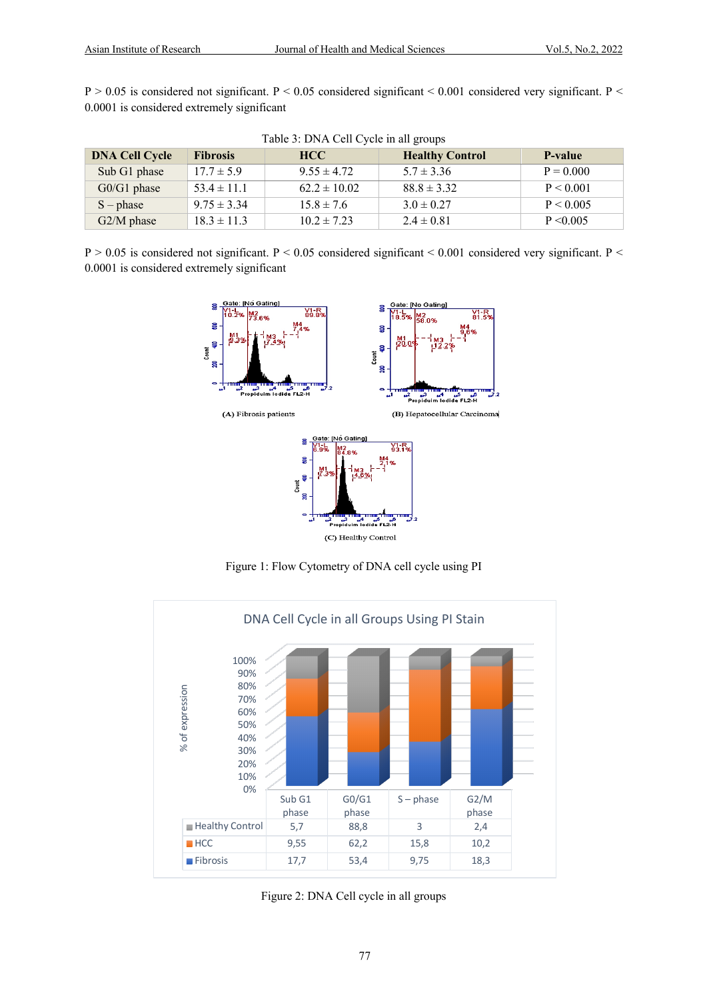P > 0.05 is considered not significant. P < 0.05 considered significant < 0.001 considered very significant. P < 0.0001 is considered extremely significant

| $14010$ $31.011$ $12.010$ $10.010$ $10.010$ $10.000$ |                 |                  |                        |               |  |  |  |
|------------------------------------------------------|-----------------|------------------|------------------------|---------------|--|--|--|
| <b>DNA Cell Cycle</b>                                | <b>Fibrosis</b> | <b>HCC</b>       | <b>Healthy Control</b> | P-value       |  |  |  |
| Sub G1 phase                                         | $17.7 \pm 5.9$  | $9.55 \pm 4.72$  | $5.7 \pm 3.36$         | $P = 0.000$   |  |  |  |
| $G0/G1$ phase                                        | $53.4 \pm 11.1$ | $62.2 \pm 10.02$ | $88.8 \pm 3.32$        | P < 0.001     |  |  |  |
| $S$ – phase                                          | $9.75 \pm 3.34$ | $15.8 \pm 7.6$   | $3.0 \pm 0.27$         | P < 0.005     |  |  |  |
| G2/M phase                                           | $18.3 \pm 11.3$ | $10.2 \pm 7.23$  | $2.4 \pm 0.81$         | $P \le 0.005$ |  |  |  |

Table 3: DNA Cell Cycle in all groups

P > 0.05 is considered not significant. P < 0.05 considered significant < 0.001 considered very significant. P < 0.0001 is considered extremely significant



Figure 1: Flow Cytometry of DNA cell cycle using PI



Figure 2: DNA Cell cycle in all groups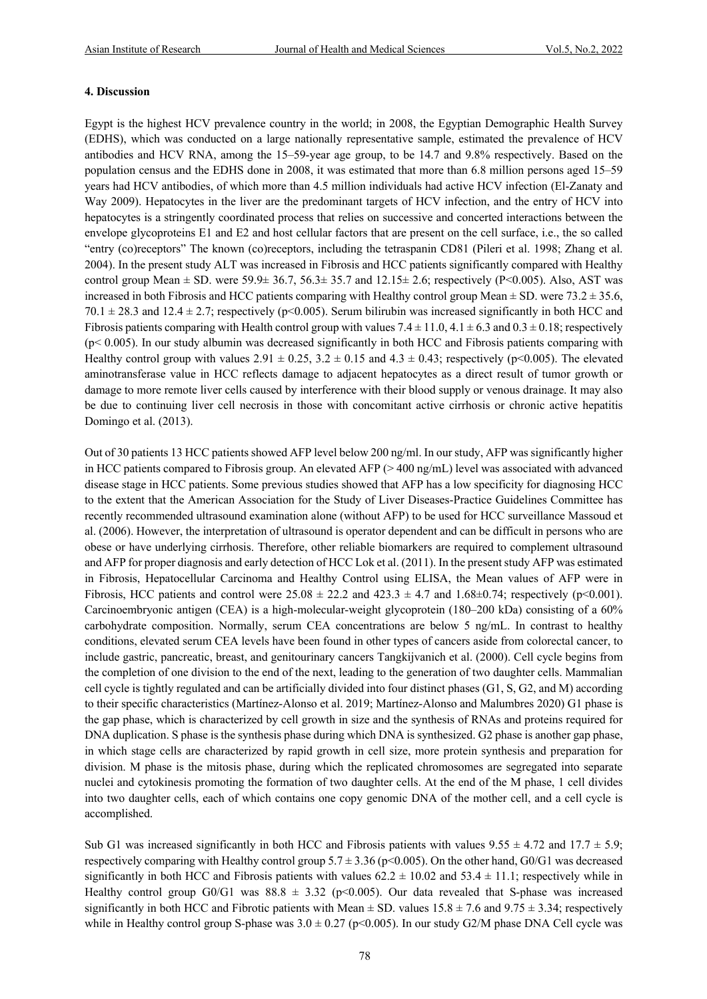#### **4. Discussion**

Egypt is the highest HCV prevalence country in the world; in 2008, the Egyptian Demographic Health Survey (EDHS), which was conducted on a large nationally representative sample, estimated the prevalence of HCV antibodies and HCV RNA, among the 15–59-year age group, to be 14.7 and 9.8% respectively. Based on the population census and the EDHS done in 2008, it was estimated that more than 6.8 million persons aged 15–59 years had HCV antibodies, of which more than 4.5 million individuals had active HCV infection (El-Zanaty and Way 2009). Hepatocytes in the liver are the predominant targets of HCV infection, and the entry of HCV into hepatocytes is a stringently coordinated process that relies on successive and concerted interactions between the envelope glycoproteins E1 and E2 and host cellular factors that are present on the cell surface, i.e., the so called "entry (co)receptors" The known (co)receptors, including the tetraspanin CD81 (Pileri et al. 1998; Zhang et al. 2004). In the present study ALT was increased in Fibrosis and HCC patients significantly compared with Healthy control group Mean  $\pm$  SD. were 59.9 $\pm$  36.7, 56.3 $\pm$  35.7 and 12.15 $\pm$  2.6; respectively (P<0.005). Also, AST was increased in both Fibrosis and HCC patients comparing with Healthy control group Mean  $\pm$  SD, were 73.2  $\pm$  35.6, 70.1  $\pm$  28.3 and 12.4  $\pm$  2.7; respectively (p<0.005). Serum bilirubin was increased significantly in both HCC and Fibrosis patients comparing with Health control group with values  $7.4 \pm 11.0$ ,  $4.1 \pm 6.3$  and  $0.3 \pm 0.18$ ; respectively (p< 0.005). In our study albumin was decreased significantly in both HCC and Fibrosis patients comparing with Healthy control group with values  $2.91 \pm 0.25$ ,  $3.2 \pm 0.15$  and  $4.3 \pm 0.43$ ; respectively (p<0.005). The elevated aminotransferase value in HCC reflects damage to adjacent hepatocytes as a direct result of tumor growth or damage to more remote liver cells caused by interference with their blood supply or venous drainage. It may also be due to continuing liver cell necrosis in those with concomitant active cirrhosis or chronic active hepatitis Domingo et al. (2013).

Out of 30 patients 13 HCC patients showed AFP level below 200 ng/ml. In our study, AFP was significantly higher in HCC patients compared to Fibrosis group. An elevated AFP (> 400 ng/mL) level was associated with advanced disease stage in HCC patients. Some previous studies showed that AFP has a low specificity for diagnosing HCC to the extent that the American Association for the Study of Liver Diseases-Practice Guidelines Committee has recently recommended ultrasound examination alone (without AFP) to be used for HCC surveillance Massoud et al. (2006). However, the interpretation of ultrasound is operator dependent and can be difficult in persons who are obese or have underlying cirrhosis. Therefore, other reliable biomarkers are required to complement ultrasound and AFP for proper diagnosis and early detection of HCC Lok et al. (2011). In the present study AFP was estimated in Fibrosis, Hepatocellular Carcinoma and Healthy Control using ELISA, the Mean values of AFP were in Fibrosis, HCC patients and control were  $25.08 \pm 22.2$  and  $423.3 \pm 4.7$  and  $1.68 \pm 0.74$ ; respectively (p<0.001). Carcinoembryonic antigen (CEA) is a high-molecular-weight glycoprotein (180–200 kDa) consisting of a 60% carbohydrate composition. Normally, serum CEA concentrations are below 5 ng/mL. In contrast to healthy conditions, elevated serum CEA levels have been found in other types of cancers aside from colorectal cancer, to include gastric, pancreatic, breast, and genitourinary cancers Tangkijvanich et al. (2000). Cell cycle begins from the completion of one division to the end of the next, leading to the generation of two daughter cells. Mammalian cell cycle is tightly regulated and can be artificially divided into four distinct phases (G1, S, G2, and M) according to their specific characteristics (Martínez-Alonso et al. 2019; Martínez-Alonso and Malumbres 2020) G1 phase is the gap phase, which is characterized by cell growth in size and the synthesis of RNAs and proteins required for DNA duplication. S phase is the synthesis phase during which DNA is synthesized. G2 phase is another gap phase, in which stage cells are characterized by rapid growth in cell size, more protein synthesis and preparation for division. M phase is the mitosis phase, during which the replicated chromosomes are segregated into separate nuclei and cytokinesis promoting the formation of two daughter cells. At the end of the M phase, 1 cell divides into two daughter cells, each of which contains one copy genomic DNA of the mother cell, and a cell cycle is accomplished.

Sub G1 was increased significantly in both HCC and Fibrosis patients with values  $9.55 \pm 4.72$  and  $17.7 \pm 5.9$ ; respectively comparing with Healthy control group  $5.7 \pm 3.36$  (p<0.005). On the other hand, G0/G1 was decreased significantly in both HCC and Fibrosis patients with values  $62.2 \pm 10.02$  and  $53.4 \pm 11.1$ ; respectively while in Healthy control group G0/G1 was  $88.8 \pm 3.32$  (p<0.005). Our data revealed that S-phase was increased significantly in both HCC and Fibrotic patients with Mean  $\pm$  SD. values  $15.8 \pm 7.6$  and  $9.75 \pm 3.34$ ; respectively while in Healthy control group S-phase was  $3.0 \pm 0.27$  (p<0.005). In our study G2/M phase DNA Cell cycle was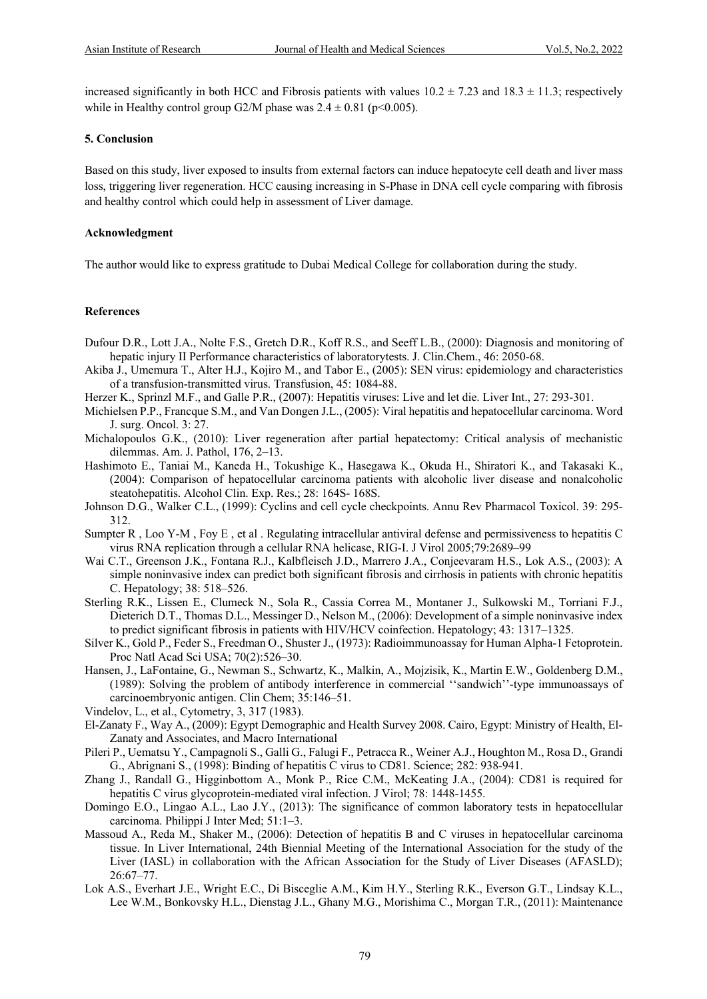increased significantly in both HCC and Fibrosis patients with values  $10.2 \pm 7.23$  and  $18.3 \pm 11.3$ ; respectively while in Healthy control group G2/M phase was  $2.4 \pm 0.81$  (p<0.005).

#### **5. Conclusion**

Based on this study, liver exposed to insults from external factors can induce hepatocyte cell death and liver mass loss, triggering liver regeneration. HCC causing increasing in S-Phase in DNA cell cycle comparing with fibrosis and healthy control which could help in assessment of Liver damage.

#### **Acknowledgment**

The author would like to express gratitude to Dubai Medical College for collaboration during the study.

#### **References**

- Dufour D.R., Lott J.A., Nolte F.S., Gretch D.R., Koff R.S., and Seeff L.B., (2000): Diagnosis and monitoring of hepatic injury II Performance characteristics of laboratorytests. J. Clin.Chem., 46: 2050-68.
- Akiba J., Umemura T., Alter H.J., Kojiro M., and Tabor E., (2005): SEN virus: epidemiology and characteristics of a transfusion-transmitted virus. Transfusion, 45: 1084-88.
- Herzer K., Sprinzl M.F., and Galle P.R., (2007): Hepatitis viruses: Live and let die. Liver Int., 27: 293-301.
- Michielsen P.P., Francque S.M., and Van Dongen J.L., (2005): Viral hepatitis and hepatocellular carcinoma. Word J. surg. Oncol. 3: 27.
- Michalopoulos G.K., (2010): Liver regeneration after partial hepatectomy: Critical analysis of mechanistic dilemmas. Am. J. Pathol, 176, 2–13.
- Hashimoto E., Taniai M., Kaneda H., Tokushige K., Hasegawa K., Okuda H., Shiratori K., and Takasaki K., (2004): Comparison of hepatocellular carcinoma patients with alcoholic liver disease and nonalcoholic steatohepatitis. Alcohol Clin. Exp. Res.; 28: 164S- 168S.
- Johnson D.G., Walker C.L., (1999): Cyclins and cell cycle checkpoints. Annu Rev Pharmacol Toxicol. 39: 295- 312.
- Sumpter R , Loo Y-M , Foy E , et al . Regulating intracellular antiviral defense and permissiveness to hepatitis C virus RNA replication through a cellular RNA helicase, RIG-I. J Virol 2005;79:2689–99
- Wai C.T., Greenson J.K., Fontana R.J., Kalbfleisch J.D., Marrero J.A., Conjeevaram H.S., Lok A.S., (2003): A simple noninvasive index can predict both significant fibrosis and cirrhosis in patients with chronic hepatitis C. Hepatology; 38: 518–526.
- Sterling R.K., Lissen E., Clumeck N., Sola R., Cassia Correa M., Montaner J., Sulkowski M., Torriani F.J., Dieterich D.T., Thomas D.L., Messinger D., Nelson M., (2006): Development of a simple noninvasive index to predict significant fibrosis in patients with HIV/HCV coinfection. Hepatology; 43: 1317–1325.
- Silver K., Gold P., Feder S., Freedman O., Shuster J., (1973): Radioimmunoassay for Human Alpha-1 Fetoprotein. Proc Natl Acad Sci USA; 70(2):526–30.
- Hansen, J., LaFontaine, G., Newman S., Schwartz, K., Malkin, A., Mojzisik, K., Martin E.W., Goldenberg D.M., (1989): Solving the problem of antibody interference in commercial ''sandwich''-type immunoassays of carcinoembryonic antigen. Clin Chem; 35:146–51.

Vindelov, L., et al., Cytometry, 3, 317 (1983).

- El-Zanaty F., Way A., (2009): Egypt Demographic and Health Survey 2008. Cairo, Egypt: Ministry of Health, El-Zanaty and Associates, and Macro International
- Pileri P., Uematsu Y., Campagnoli S., Galli G., Falugi F., Petracca R., Weiner A.J., Houghton M., Rosa D., Grandi G., Abrignani S., (1998): Binding of hepatitis C virus to CD81. Science; 282: 938-941.
- Zhang J., Randall G., Higginbottom A., Monk P., Rice C.M., McKeating J.A., (2004): CD81 is required for hepatitis C virus glycoprotein-mediated viral infection. J Virol; 78: 1448-1455.
- Domingo E.O., Lingao A.L., Lao J.Y., (2013): The significance of common laboratory tests in hepatocellular carcinoma. Philippi J Inter Med; 51:1–3.
- Massoud A., Reda M., Shaker M., (2006): Detection of hepatitis B and C viruses in hepatocellular carcinoma tissue. In Liver International, 24th Biennial Meeting of the International Association for the study of the Liver (IASL) in collaboration with the African Association for the Study of Liver Diseases (AFASLD); 26:67–77.
- Lok A.S., Everhart J.E., Wright E.C., Di Bisceglie A.M., Kim H.Y., Sterling R.K., Everson G.T., Lindsay K.L., Lee W.M., Bonkovsky H.L., Dienstag J.L., Ghany M.G., Morishima C., Morgan T.R., (2011): Maintenance